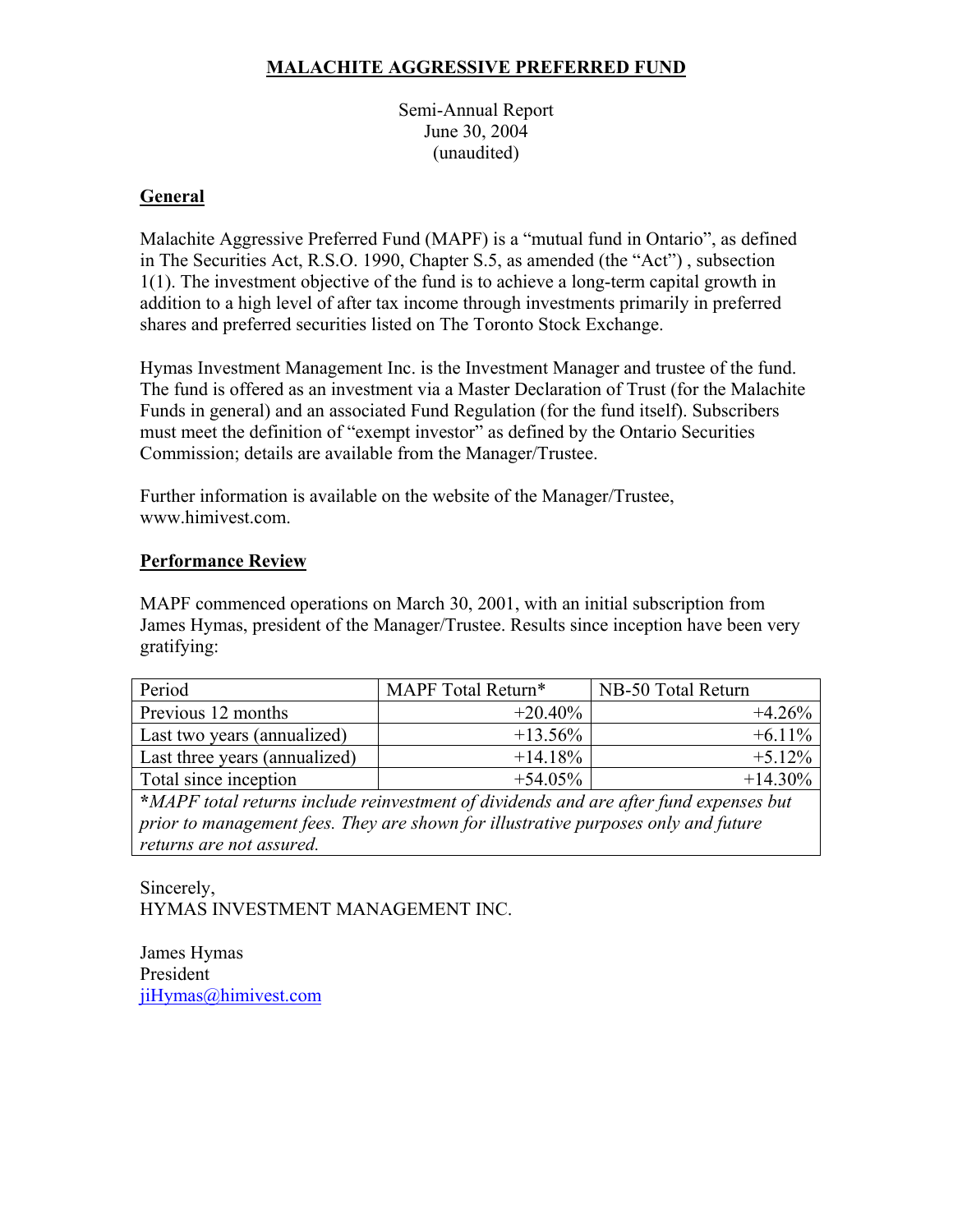### **MALACHITE AGGRESSIVE PREFERRED FUND**

Semi-Annual Report June 30, 2004 (unaudited)

### **General**

Malachite Aggressive Preferred Fund (MAPF) is a "mutual fund in Ontario", as defined in The Securities Act, R.S.O. 1990, Chapter S.5, as amended (the "Act") , subsection 1(1). The investment objective of the fund is to achieve a long-term capital growth in addition to a high level of after tax income through investments primarily in preferred shares and preferred securities listed on The Toronto Stock Exchange.

Hymas Investment Management Inc. is the Investment Manager and trustee of the fund. The fund is offered as an investment via a Master Declaration of Trust (for the Malachite Funds in general) and an associated Fund Regulation (for the fund itself). Subscribers must meet the definition of "exempt investor" as defined by the Ontario Securities Commission; details are available from the Manager/Trustee.

Further information is available on the website of the Manager/Trustee, www.himivest.com.

#### **Performance Review**

MAPF commenced operations on March 30, 2001, with an initial subscription from James Hymas, president of the Manager/Trustee. Results since inception have been very gratifying:

| Period                        | MAPF Total Return* | NB-50 Total Return |
|-------------------------------|--------------------|--------------------|
| Previous 12 months            | $+20.40\%$         | $+426%$            |
| Last two years (annualized)   | $+13.56\%$         | $+6.11\%$          |
| Last three years (annualized) | $+14.18\%$         | $+5.12%$           |
| Total since inception         | $+54.05\%$         | $+14.30\%$         |

**\****MAPF total returns include reinvestment of dividends and are after fund expenses but prior to management fees. They are shown for illustrative purposes only and future returns are not assured.*

#### Sincerely, HYMAS INVESTMENT MANAGEMENT INC.

James Hymas President jiHymas@himivest.com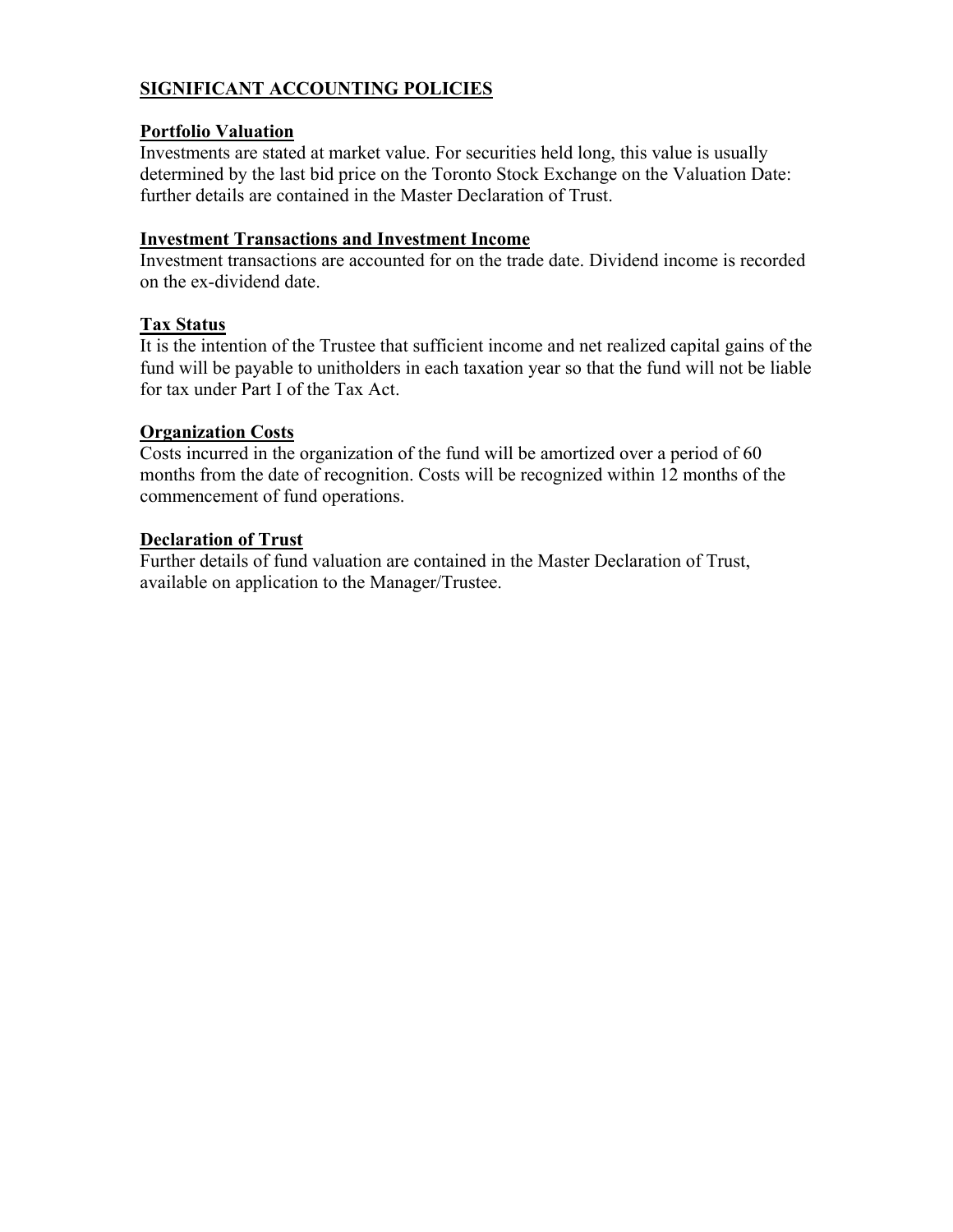### **SIGNIFICANT ACCOUNTING POLICIES**

#### **Portfolio Valuation**

Investments are stated at market value. For securities held long, this value is usually determined by the last bid price on the Toronto Stock Exchange on the Valuation Date: further details are contained in the Master Declaration of Trust.

#### **Investment Transactions and Investment Income**

Investment transactions are accounted for on the trade date. Dividend income is recorded on the ex-dividend date.

#### **Tax Status**

It is the intention of the Trustee that sufficient income and net realized capital gains of the fund will be payable to unitholders in each taxation year so that the fund will not be liable for tax under Part I of the Tax Act.

#### **Organization Costs**

Costs incurred in the organization of the fund will be amortized over a period of 60 months from the date of recognition. Costs will be recognized within 12 months of the commencement of fund operations.

#### **Declaration of Trust**

Further details of fund valuation are contained in the Master Declaration of Trust, available on application to the Manager/Trustee.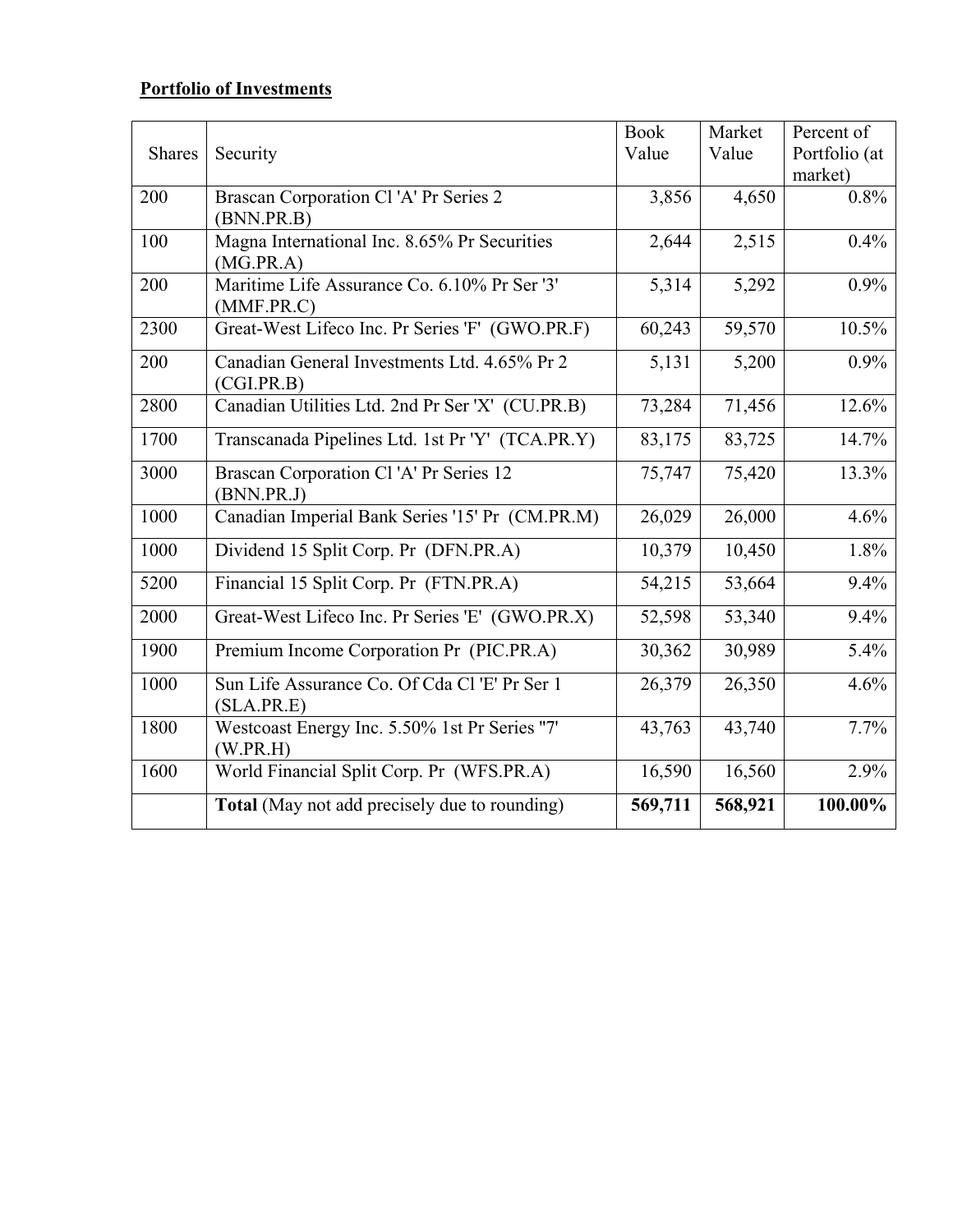# **Portfolio of Investments**

|               |                                                             | <b>Book</b> | Market  | Percent of    |
|---------------|-------------------------------------------------------------|-------------|---------|---------------|
| <b>Shares</b> | Security                                                    | Value       | Value   | Portfolio (at |
|               |                                                             |             |         | market)       |
| 200           | Brascan Corporation Cl'A' Pr Series 2                       | 3,856       | 4,650   | 0.8%          |
|               | (BNN.PR.B)                                                  |             |         |               |
| 100           | Magna International Inc. 8.65% Pr Securities<br>(MG.PR.A)   | 2,644       | 2,515   | 0.4%          |
| 200           | Maritime Life Assurance Co. 6.10% Pr Ser '3'<br>(MMF.PR.C)  | 5,314       | 5,292   | 0.9%          |
| 2300          | Great-West Lifeco Inc. Pr Series 'F' (GWO.PR.F)             | 60,243      | 59,570  | 10.5%         |
| 200           | Canadian General Investments Ltd. 4.65% Pr 2<br>(CGI.PR.B)  | 5,131       | 5,200   | 0.9%          |
| 2800          | Canadian Utilities Ltd. 2nd Pr Ser 'X' (CU.PR.B)            | 73,284      | 71,456  | 12.6%         |
| 1700          | Transcanada Pipelines Ltd. 1st Pr 'Y' (TCA.PR.Y)            | 83,175      | 83,725  | 14.7%         |
| 3000          | Brascan Corporation Cl'A' Pr Series 12<br>(BNN.PR.J)        | 75,747      | 75,420  | 13.3%         |
| 1000          | Canadian Imperial Bank Series '15' Pr (CM.PR.M)             | 26,029      | 26,000  | 4.6%          |
| 1000          | Dividend 15 Split Corp. Pr (DFN.PR.A)                       | 10,379      | 10,450  | 1.8%          |
| 5200          | Financial 15 Split Corp. Pr (FTN.PR.A)                      | 54,215      | 53,664  | 9.4%          |
| 2000          | Great-West Lifeco Inc. Pr Series 'E' (GWO.PR.X)             | 52,598      | 53,340  | 9.4%          |
| 1900          | Premium Income Corporation Pr (PIC.PR.A)                    | 30,362      | 30,989  | 5.4%          |
| 1000          | Sun Life Assurance Co. Of Cda Cl 'E' Pr Ser 1<br>(SLA.PR.E) | 26,379      | 26,350  | 4.6%          |
| 1800          | Westcoast Energy Inc. 5.50% 1st Pr Series "7'<br>(W.PR.H)   | 43,763      | 43,740  | 7.7%          |
| 1600          | World Financial Split Corp. Pr (WFS.PR.A)                   | 16,590      | 16,560  | 2.9%          |
|               | <b>Total</b> (May not add precisely due to rounding)        | 569,711     | 568,921 | 100.00%       |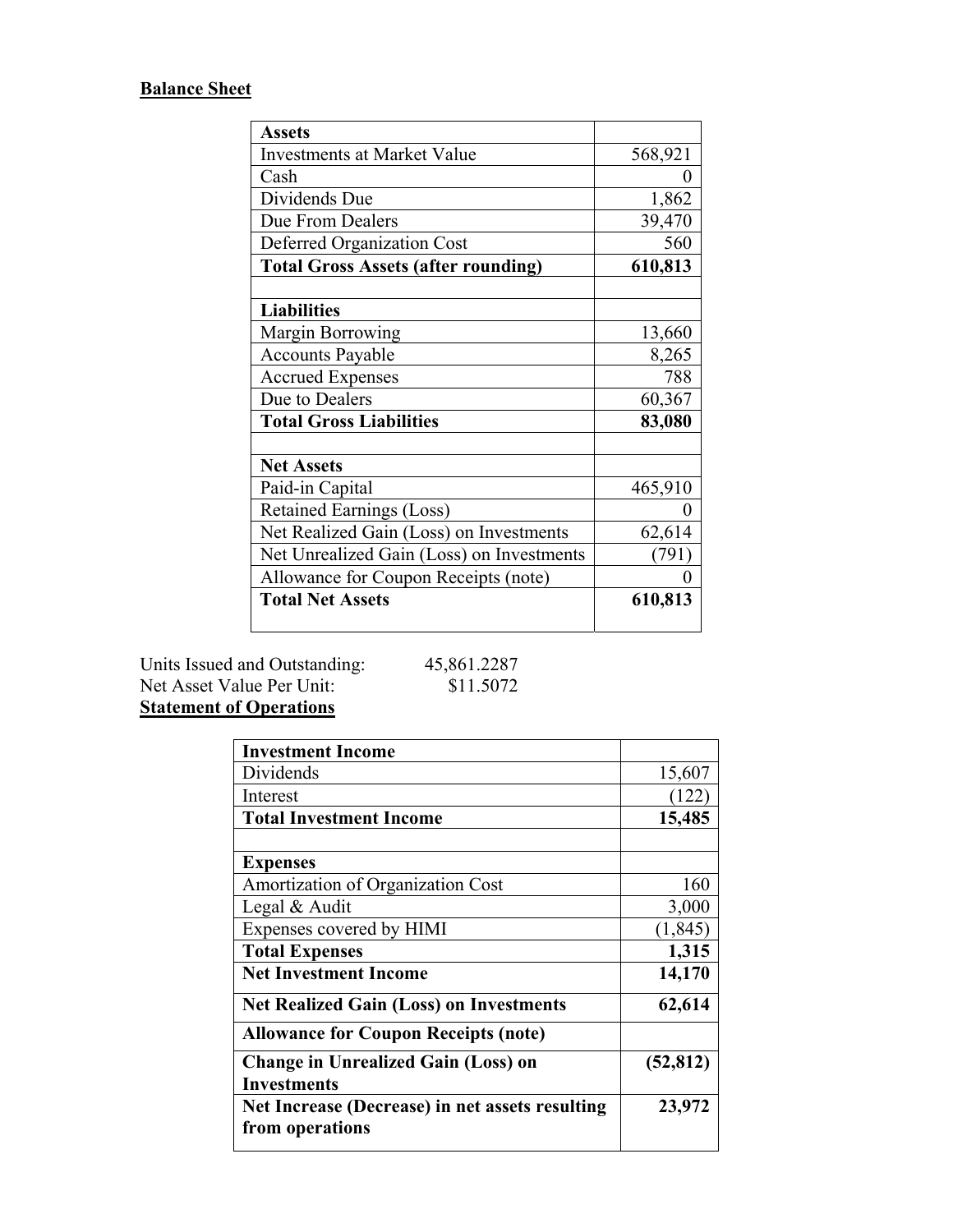# **Balance Sheet**

| <b>Assets</b>                              |         |
|--------------------------------------------|---------|
| <b>Investments at Market Value</b>         | 568,921 |
| Cash                                       | 0       |
| Dividends Due                              | 1,862   |
| Due From Dealers                           | 39,470  |
| Deferred Organization Cost                 | 560     |
| <b>Total Gross Assets (after rounding)</b> | 610,813 |
|                                            |         |
| <b>Liabilities</b>                         |         |
| <b>Margin Borrowing</b>                    | 13,660  |
| <b>Accounts Payable</b>                    | 8,265   |
| <b>Accrued Expenses</b>                    | 788     |
| Due to Dealers                             | 60,367  |
| <b>Total Gross Liabilities</b>             | 83,080  |
|                                            |         |
| <b>Net Assets</b>                          |         |
| Paid-in Capital                            | 465,910 |
| <b>Retained Earnings (Loss)</b>            | 0       |
| Net Realized Gain (Loss) on Investments    | 62,614  |
| Net Unrealized Gain (Loss) on Investments  | (791)   |
| Allowance for Coupon Receipts (note)       | 0       |
| <b>Total Net Assets</b>                    | 610,813 |
|                                            |         |

Units Issued and Outstanding: 45,861.2287 Net Asset Value Per Unit: \$11.5072

# **Statement of Operations**

| <b>Investment Income</b>                        |           |
|-------------------------------------------------|-----------|
|                                                 |           |
| Dividends                                       | 15,607    |
| Interest                                        | (122)     |
| <b>Total Investment Income</b>                  | 15,485    |
|                                                 |           |
| <b>Expenses</b>                                 |           |
| Amortization of Organization Cost               | 160       |
| Legal & Audit                                   | 3,000     |
| Expenses covered by HIMI                        | (1, 845)  |
| <b>Total Expenses</b>                           | 1,315     |
| <b>Net Investment Income</b>                    | 14,170    |
| <b>Net Realized Gain (Loss) on Investments</b>  | 62,614    |
| <b>Allowance for Coupon Receipts (note)</b>     |           |
| <b>Change in Unrealized Gain (Loss) on</b>      | (52, 812) |
| <b>Investments</b>                              |           |
| Net Increase (Decrease) in net assets resulting | 23,972    |
| from operations                                 |           |
|                                                 |           |